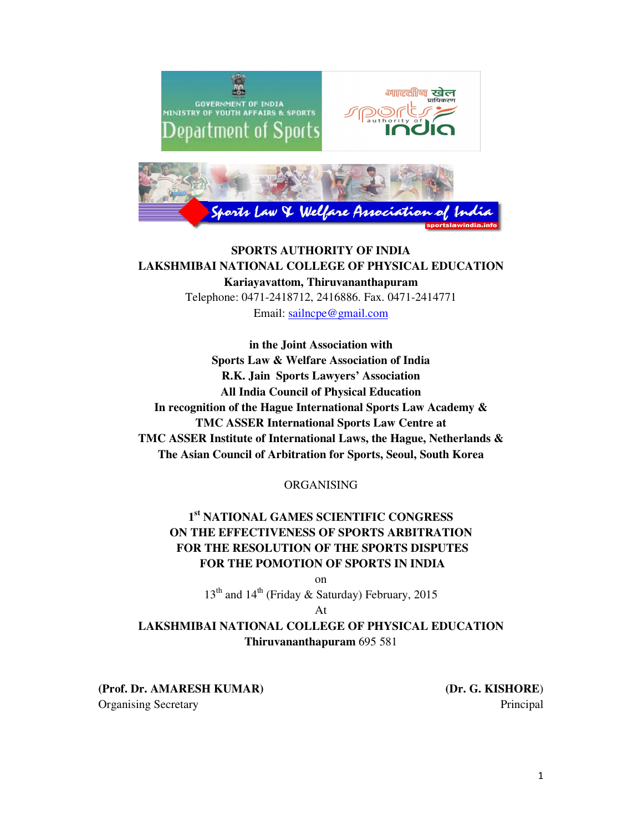

## **SPORTS AUTHORITY OF INDIA LAKSHMIBAI NATIONAL COLLEGE OF PHYSICAL EDUCATION Kariayavattom, Thiruvananthapuram**

Telephone: 0471-2418712, 2416886. Fax. 0471-2414771 Email: sailncpe@gmail.com

**in the Joint Association with Sports Law & Welfare Association of India R.K. Jain Sports Lawyers' Association All India Council of Physical Education In recognition of the Hague International Sports Law Academy & TMC ASSER International Sports Law Centre at TMC ASSER Institute of International Laws, the Hague, Netherlands & The Asian Council of Arbitration for Sports, Seoul, South Korea** 

ORGANISING

# **1 st NATIONAL GAMES SCIENTIFIC CONGRESS ON THE EFFECTIVENESS OF SPORTS ARBITRATION FOR THE RESOLUTION OF THE SPORTS DISPUTES FOR THE POMOTION OF SPORTS IN INDIA**

on

 $13<sup>th</sup>$  and  $14<sup>th</sup>$  (Friday & Saturday) February, 2015

At

# **LAKSHMIBAI NATIONAL COLLEGE OF PHYSICAL EDUCATION Thiruvananthapuram** 695 581

**(Prof. Dr. AMARESH KUMAR)**  Organising Secretary

**(Dr. G. KISHORE**) Principal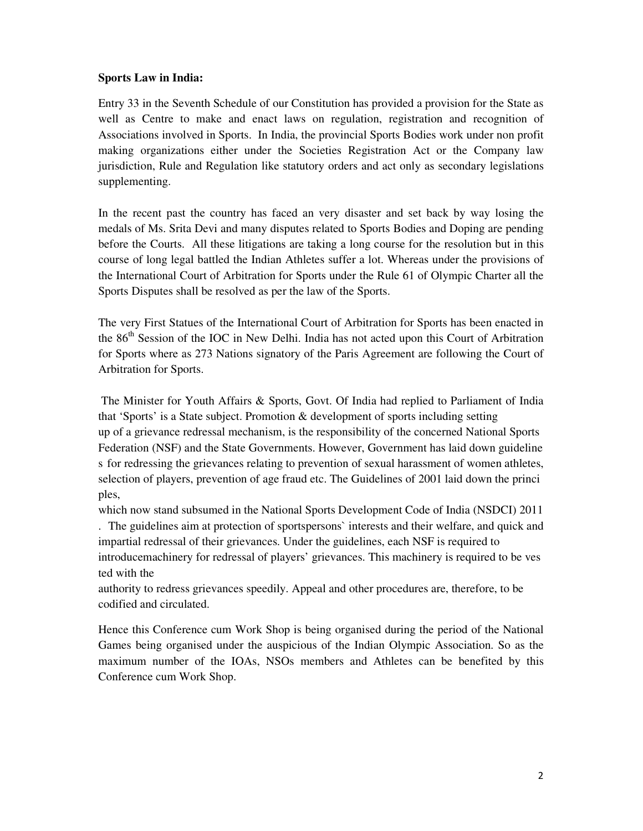## **Sports Law in India:**

Entry 33 in the Seventh Schedule of our Constitution has provided a provision for the State as well as Centre to make and enact laws on regulation, registration and recognition of Associations involved in Sports. In India, the provincial Sports Bodies work under non profit making organizations either under the Societies Registration Act or the Company law jurisdiction, Rule and Regulation like statutory orders and act only as secondary legislations supplementing.

In the recent past the country has faced an very disaster and set back by way losing the medals of Ms. Srita Devi and many disputes related to Sports Bodies and Doping are pending before the Courts. All these litigations are taking a long course for the resolution but in this course of long legal battled the Indian Athletes suffer a lot. Whereas under the provisions of the International Court of Arbitration for Sports under the Rule 61 of Olympic Charter all the Sports Disputes shall be resolved as per the law of the Sports.

The very First Statues of the International Court of Arbitration for Sports has been enacted in the 86<sup>th</sup> Session of the IOC in New Delhi. India has not acted upon this Court of Arbitration for Sports where as 273 Nations signatory of the Paris Agreement are following the Court of Arbitration for Sports.

 The Minister for Youth Affairs & Sports, Govt. Of India had replied to Parliament of India that 'Sports' is a State subject. Promotion & development of sports including setting up of a grievance redressal mechanism, is the responsibility of the concerned National Sports Federation (NSF) and the State Governments. However, Government has laid down guideline s for redressing the grievances relating to prevention of sexual harassment of women athletes, selection of players, prevention of age fraud etc. The Guidelines of 2001 laid down the princi ples,

which now stand subsumed in the National Sports Development Code of India (NSDCI) 2011 . The guidelines aim at protection of sportspersons` interests and their welfare, and quick and impartial redressal of their grievances. Under the guidelines, each NSF is required to introducemachinery for redressal of players' grievances. This machinery is required to be ves ted with the

authority to redress grievances speedily. Appeal and other procedures are, therefore, to be codified and circulated.

Hence this Conference cum Work Shop is being organised during the period of the National Games being organised under the auspicious of the Indian Olympic Association. So as the maximum number of the IOAs, NSOs members and Athletes can be benefited by this Conference cum Work Shop.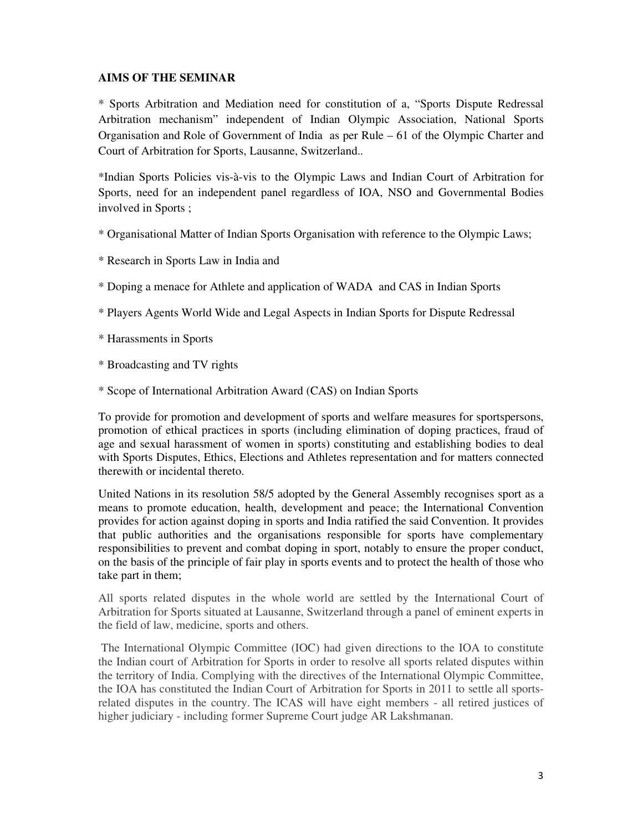## **AIMS OF THE SEMINAR**

\* Sports Arbitration and Mediation need for constitution of a, "Sports Dispute Redressal Arbitration mechanism" independent of Indian Olympic Association, National Sports Organisation and Role of Government of India as per Rule – 61 of the Olympic Charter and Court of Arbitration for Sports, Lausanne, Switzerland..

\*Indian Sports Policies vis-à-vis to the Olympic Laws and Indian Court of Arbitration for Sports, need for an independent panel regardless of IOA, NSO and Governmental Bodies involved in Sports ;

- \* Organisational Matter of Indian Sports Organisation with reference to the Olympic Laws;
- \* Research in Sports Law in India and
- \* Doping a menace for Athlete and application of WADA and CAS in Indian Sports
- \* Players Agents World Wide and Legal Aspects in Indian Sports for Dispute Redressal
- \* Harassments in Sports
- \* Broadcasting and TV rights
- \* Scope of International Arbitration Award (CAS) on Indian Sports

To provide for promotion and development of sports and welfare measures for sportspersons, promotion of ethical practices in sports (including elimination of doping practices, fraud of age and sexual harassment of women in sports) constituting and establishing bodies to deal with Sports Disputes, Ethics, Elections and Athletes representation and for matters connected therewith or incidental thereto.

United Nations in its resolution 58/5 adopted by the General Assembly recognises sport as a means to promote education, health, development and peace; the International Convention provides for action against doping in sports and India ratified the said Convention. It provides that public authorities and the organisations responsible for sports have complementary responsibilities to prevent and combat doping in sport, notably to ensure the proper conduct, on the basis of the principle of fair play in sports events and to protect the health of those who take part in them;

All sports related disputes in the whole world are settled by the International Court of Arbitration for Sports situated at Lausanne, Switzerland through a panel of eminent experts in the field of law, medicine, sports and others.

 The International Olympic Committee (IOC) had given directions to the IOA to constitute the Indian court of Arbitration for Sports in order to resolve all sports related disputes within the territory of India. Complying with the directives of the International Olympic Committee, the IOA has constituted the Indian Court of Arbitration for Sports in 2011 to settle all sportsrelated disputes in the country. The ICAS will have eight members - all retired justices of higher judiciary - including former Supreme Court judge AR Lakshmanan.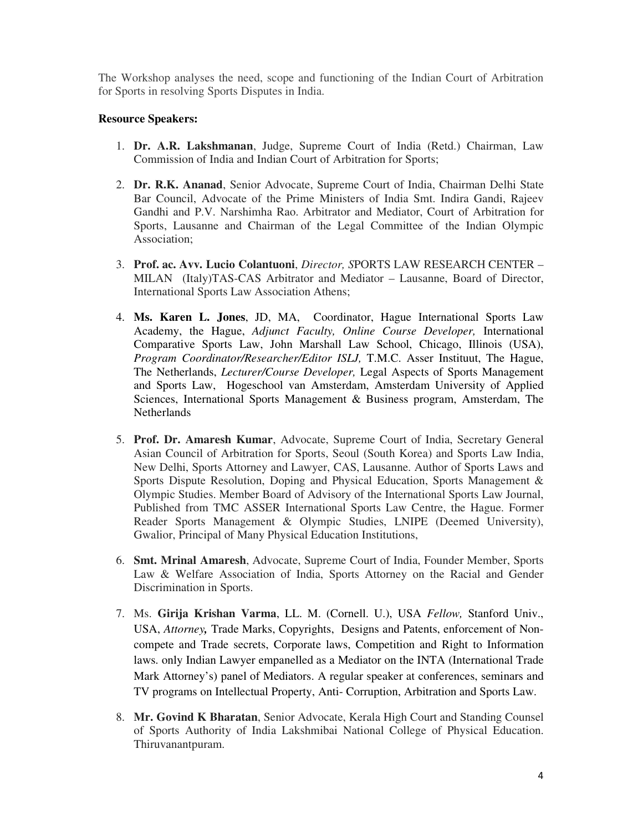The Workshop analyses the need, scope and functioning of the Indian Court of Arbitration for Sports in resolving Sports Disputes in India.

### **Resource Speakers:**

- 1. **Dr. A.R. Lakshmanan**, Judge, Supreme Court of India (Retd.) Chairman, Law Commission of India and Indian Court of Arbitration for Sports;
- 2. **Dr. R.K. Ananad**, Senior Advocate, Supreme Court of India, Chairman Delhi State Bar Council, Advocate of the Prime Ministers of India Smt. Indira Gandi, Rajeev Gandhi and P.V. Narshimha Rao. Arbitrator and Mediator, Court of Arbitration for Sports, Lausanne and Chairman of the Legal Committee of the Indian Olympic Association;
- 3. **Prof. ac. Avv. Lucio Colantuoni**, *Director, S*PORTS LAW RESEARCH CENTER MILAN (Italy)TAS-CAS Arbitrator and Mediator – Lausanne, Board of Director, International Sports Law Association Athens;
- 4. **Ms. Karen L. Jones**, JD, MA, Coordinator, Hague International Sports Law Academy, the Hague, *Adjunct Faculty, Online Course Developer,* International Comparative Sports Law, John Marshall Law School, Chicago, Illinois (USA), *Program Coordinator/Researcher/Editor ISLJ,* T.M.C. Asser Instituut, The Hague, The Netherlands, *Lecturer/Course Developer,* Legal Aspects of Sports Management and Sports Law, Hogeschool van Amsterdam, Amsterdam University of Applied Sciences, International Sports Management & Business program, Amsterdam, The **Netherlands**
- 5. **Prof. Dr. Amaresh Kumar**, Advocate, Supreme Court of India, Secretary General Asian Council of Arbitration for Sports, Seoul (South Korea) and Sports Law India, New Delhi, Sports Attorney and Lawyer, CAS, Lausanne. Author of Sports Laws and Sports Dispute Resolution, Doping and Physical Education, Sports Management & Olympic Studies. Member Board of Advisory of the International Sports Law Journal, Published from TMC ASSER International Sports Law Centre, the Hague. Former Reader Sports Management & Olympic Studies, LNIPE (Deemed University), Gwalior, Principal of Many Physical Education Institutions,
- 6. **Smt. Mrinal Amaresh**, Advocate, Supreme Court of India, Founder Member, Sports Law & Welfare Association of India, Sports Attorney on the Racial and Gender Discrimination in Sports.
- 7. Ms. **Girija Krishan Varma**, LL. M. (Cornell. U.), USA *Fellow,* Stanford Univ., USA, *Attorney,* Trade Marks, Copyrights, Designs and Patents, enforcement of Noncompete and Trade secrets, Corporate laws, Competition and Right to Information laws. only Indian Lawyer empanelled as a Mediator on the INTA (International Trade Mark Attorney's) panel of Mediators. A regular speaker at conferences, seminars and TV programs on Intellectual Property, Anti- Corruption, Arbitration and Sports Law.
- 8. **Mr. Govind K Bharatan**, Senior Advocate, Kerala High Court and Standing Counsel of Sports Authority of India Lakshmibai National College of Physical Education. Thiruvanantpuram.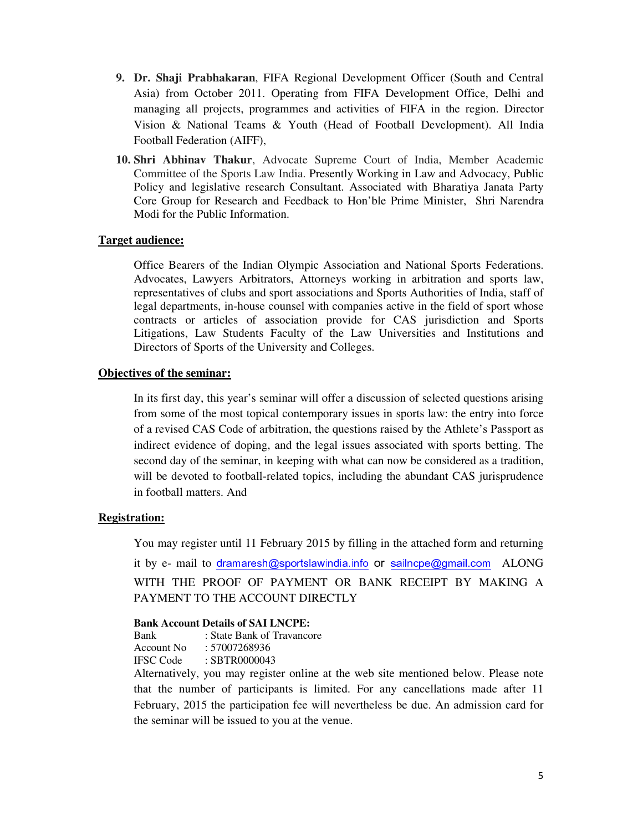- **9. Dr. Shaji Prabhakaran**, FIFA Regional Development Officer (South and Central Asia) from October 2011. Operating from FIFA Development Office, Delhi and managing all projects, programmes and activities of FIFA in the region. Director Vision & National Teams & Youth (Head of Football Development). All India Football Federation (AIFF),
- **10. Shri Abhinav Thakur**, Advocate Supreme Court of India, Member Academic Committee of the Sports Law India. Presently Working in Law and Advocacy, Public Policy and legislative research Consultant. Associated with Bharatiya Janata Party Core Group for Research and Feedback to Hon'ble Prime Minister, Shri Narendra Modi for the Public Information.

#### **Target audience:**

Office Bearers of the Indian Olympic Association and National Sports Federations. Advocates, Lawyers Arbitrators, Attorneys working in arbitration and sports law, representatives of clubs and sport associations and Sports Authorities of India, staff of legal departments, in-house counsel with companies active in the field of sport whose contracts or articles of association provide for CAS jurisdiction and Sports Litigations, Law Students Faculty of the Law Universities and Institutions and Directors of Sports of the University and Colleges.

#### **Objectives of the seminar:**

In its first day, this year's seminar will offer a discussion of selected questions arising from some of the most topical contemporary issues in sports law: the entry into force of a revised CAS Code of arbitration, the questions raised by the Athlete's Passport as indirect evidence of doping, and the legal issues associated with sports betting. The second day of the seminar, in keeping with what can now be considered as a tradition, will be devoted to football-related topics, including the abundant CAS jurisprudence in football matters. And

## **Registration:**

You may register until 11 February 2015 by filling in the attached form and returning it by e- mail to dramaresh@sportslawindia.info or sailncpe@gmail.com ALONG WITH THE PROOF OF PAYMENT OR BANK RECEIPT BY MAKING A PAYMENT TO THE ACCOUNT DIRECTLY

#### **Bank Account Details of SAI LNCPE:**

Bank : State Bank of Travancore

Account No : 57007268936

IFSC Code : SBTR0000043

Alternatively, you may register online at the web site mentioned below. Please note that the number of participants is limited. For any cancellations made after 11 February, 2015 the participation fee will nevertheless be due. An admission card for the seminar will be issued to you at the venue.